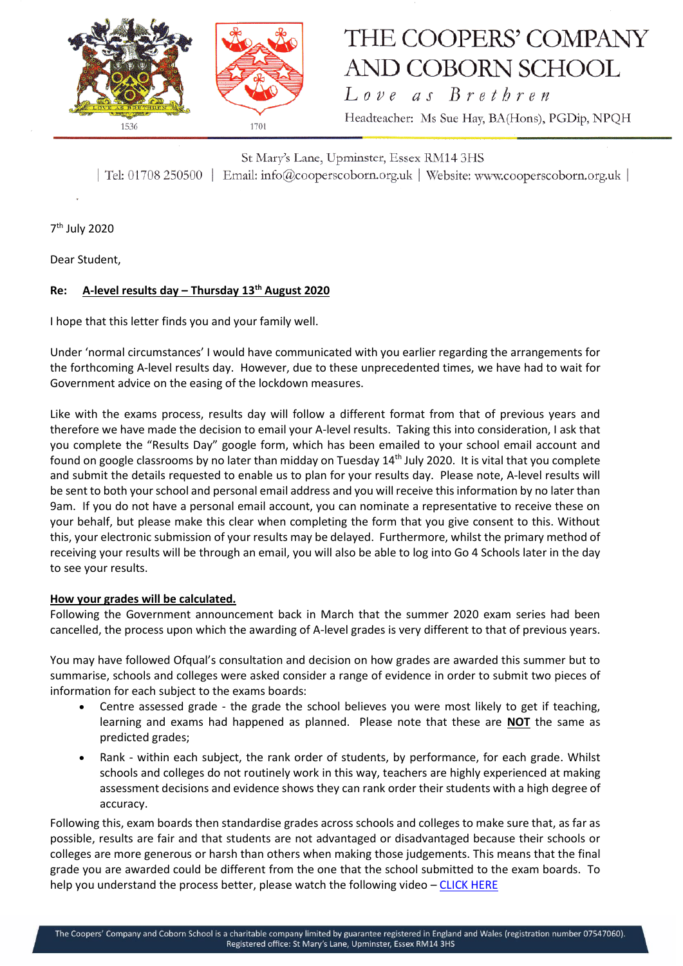

# THE COOPERS' COMPANY **AND COBORN SCHOOL**

Love as Brethren Headteacher: Ms Sue Hay, BA(Hons), PGDip, NPQH

St Mary's Lane, Upminster, Essex RM14 3HS | Tel: 01708 250500 | Email: info@cooperscoborn.org.uk | Website: www.cooperscoborn.org.uk |

7<sup>th</sup> July 2020

Dear Student,

## **Re: A-level results day – Thursday 13th August 2020**

I hope that this letter finds you and your family well.

Under 'normal circumstances' I would have communicated with you earlier regarding the arrangements for the forthcoming A-level results day. However, due to these unprecedented times, we have had to wait for Government advice on the easing of the lockdown measures.

Like with the exams process, results day will follow a different format from that of previous years and therefore we have made the decision to email your A-level results. Taking this into consideration, I ask that you complete the "Results Day" google form, which has been emailed to your school email account and found on google classrooms by no later than midday on Tuesday  $14<sup>th</sup>$  July 2020. It is vital that you complete and submit the details requested to enable us to plan for your results day. Please note, A-level results will be sent to both your school and personal email address and you will receive this information by no later than 9am. If you do not have a personal email account, you can nominate a representative to receive these on your behalf, but please make this clear when completing the form that you give consent to this. Without this, your electronic submission of your results may be delayed. Furthermore, whilst the primary method of receiving your results will be through an email, you will also be able to log into Go 4 Schools later in the day to see your results.

### **How your grades will be calculated.**

Following the Government announcement back in March that the summer 2020 exam series had been cancelled, the process upon which the awarding of A-level grades is very different to that of previous years.

You may have followed Ofqual's consultation and decision on how grades are awarded this summer but to summarise, schools and colleges were asked consider a range of evidence in order to submit two pieces of information for each subject to the exams boards:

- Centre assessed grade the grade the school believes you were most likely to get if teaching, learning and exams had happened as planned. Please note that these are **NOT** the same as predicted grades;
- Rank within each subject, the rank order of students, by performance, for each grade. Whilst schools and colleges do not routinely work in this way, teachers are highly experienced at making assessment decisions and evidence shows they can rank order their students with a high degree of accuracy.

Following this, exam boards then standardise grades across schools and colleges to make sure that, as far as possible, results are fair and that students are not advantaged or disadvantaged because their schools or colleges are more generous or harsh than others when making those judgements. This means that the final grade you are awarded could be different from the one that the school submitted to the exam boards. To help you understand the process better, please watch the following video - [CLICK HERE](https://www.youtube.com/watch?v=VXuDOrtJY1Q&feature=youtu.be)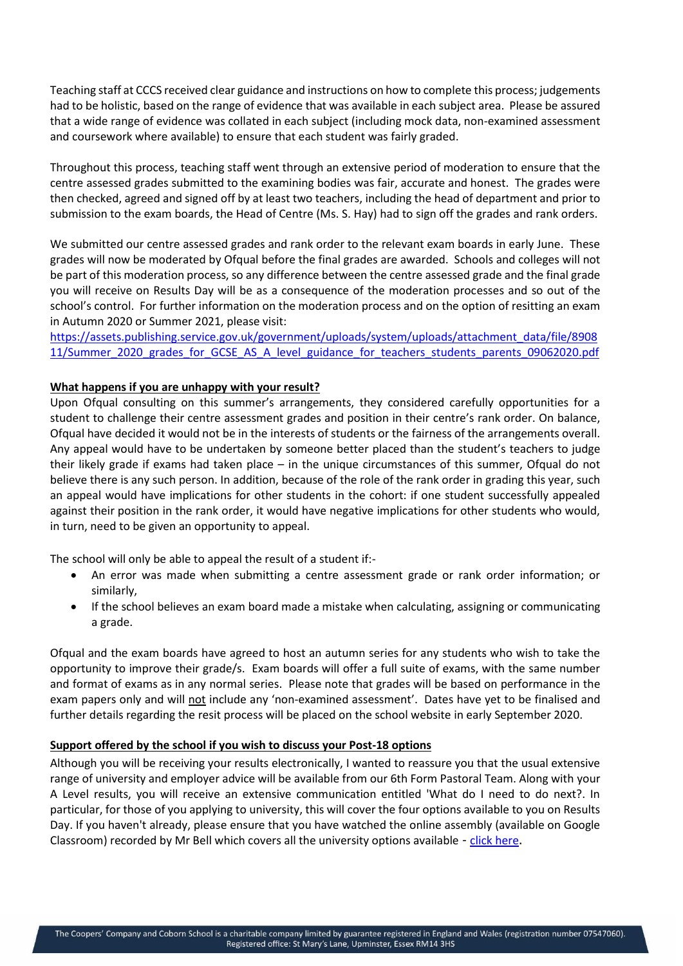Teaching staff at CCCS received clear guidance and instructions on how to complete this process; judgements had to be holistic, based on the range of evidence that was available in each subject area. Please be assured that a wide range of evidence was collated in each subject (including mock data, non-examined assessment and coursework where available) to ensure that each student was fairly graded.

Throughout this process, teaching staff went through an extensive period of moderation to ensure that the centre assessed grades submitted to the examining bodies was fair, accurate and honest. The grades were then checked, agreed and signed off by at least two teachers, including the head of department and prior to submission to the exam boards, the Head of Centre (Ms. S. Hay) had to sign off the grades and rank orders.

We submitted our centre assessed grades and rank order to the relevant exam boards in early June. These grades will now be moderated by Ofqual before the final grades are awarded. Schools and colleges will not be part of this moderation process, so any difference between the centre assessed grade and the final grade you will receive on Results Day will be as a consequence of the moderation processes and so out of the school's control. For further information on the moderation process and on the option of resitting an exam in Autumn 2020 or Summer 2021, please visit:

[https://assets.publishing.service.gov.uk/government/uploads/system/uploads/attachment\\_data/file/8908](https://assets.publishing.service.gov.uk/government/uploads/system/uploads/attachment_data/file/890811/Summer_2020_grades_for_GCSE_AS_A_level_guidance_for_teachers_students_parents_09062020.pdf) [11/Summer\\_2020\\_grades\\_for\\_GCSE\\_AS\\_A\\_level\\_guidance\\_for\\_teachers\\_students\\_parents\\_09062020.pdf](https://assets.publishing.service.gov.uk/government/uploads/system/uploads/attachment_data/file/890811/Summer_2020_grades_for_GCSE_AS_A_level_guidance_for_teachers_students_parents_09062020.pdf)

### **What happens if you are unhappy with your result?**

Upon Ofqual consulting on this summer's arrangements, they considered carefully opportunities for a student to challenge their centre assessment grades and position in their centre's rank order. On balance, Ofqual have decided it would not be in the interests of students or the fairness of the arrangements overall. Any appeal would have to be undertaken by someone better placed than the student's teachers to judge their likely grade if exams had taken place – in the unique circumstances of this summer, Ofqual do not believe there is any such person. In addition, because of the role of the rank order in grading this year, such an appeal would have implications for other students in the cohort: if one student successfully appealed against their position in the rank order, it would have negative implications for other students who would, in turn, need to be given an opportunity to appeal.

The school will only be able to appeal the result of a student if:-

- An error was made when submitting a centre assessment grade or rank order information; or similarly,
- If the school believes an exam board made a mistake when calculating, assigning or communicating a grade.

Ofqual and the exam boards have agreed to host an autumn series for any students who wish to take the opportunity to improve their grade/s. Exam boards will offer a full suite of exams, with the same number and format of exams as in any normal series. Please note that grades will be based on performance in the exam papers only and will not include any 'non-examined assessment'. Dates have yet to be finalised and further details regarding the resit process will be placed on the school website in early September 2020.

### **Support offered by the school if you wish to discuss your Post-18 options**

Although you will be receiving your results electronically, I wanted to reassure you that the usual extensive range of university and employer advice will be available from our 6th Form Pastoral Team. Along with your A Level results, you will receive an extensive communication entitled 'What do I need to do next?. In particular, for those of you applying to university, this will cover the four options available to you on Results Day. If you haven't already, please ensure that you have watched the online assembly (available on Google Classroom) recorded by Mr Bell which covers all the university options available - [click here](https://classroom.google.com/c/NjQ2NTUwNDg0NDBa/p/MTIwNzA3MjExNjY4/details).